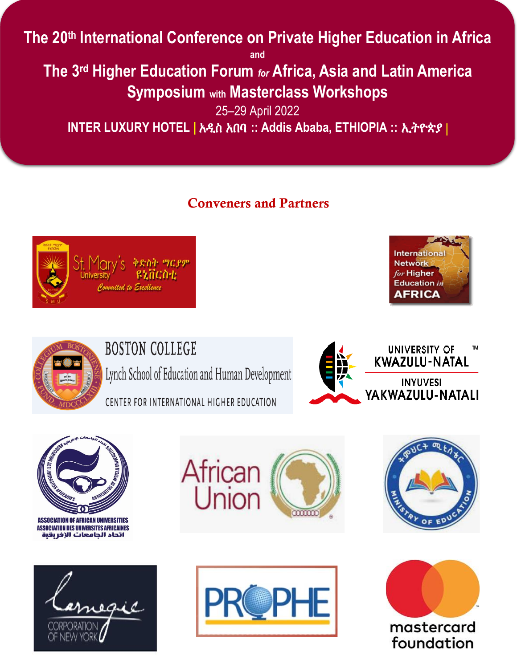# **The 20th International Conference on Private Higher Education in Africa**

**and** 

**The 3rd Higher Education Forum** *for* **Africa, Asia and Latin America Symposium with Masterclass Workshops**

25–29 April 2022 **INTER LUXURY HOTEL |** አዲስ አበባ **:: Addis Ababa, ETHIOPIA ::** ኢትዮጵያ |

## Conveners and Partners







**BOSTON COLLEGE** 

Lynch School of Education and Human Development

CENTER FOR INTERNATIONAL HIGHER EDUCATION





**ASSOCIATION OF AFRICAN UNIVERSITIES ASSOCIATION DES UNIVERSITES AFRICAINES** اتحاد الجامعات الإفريقية











foundation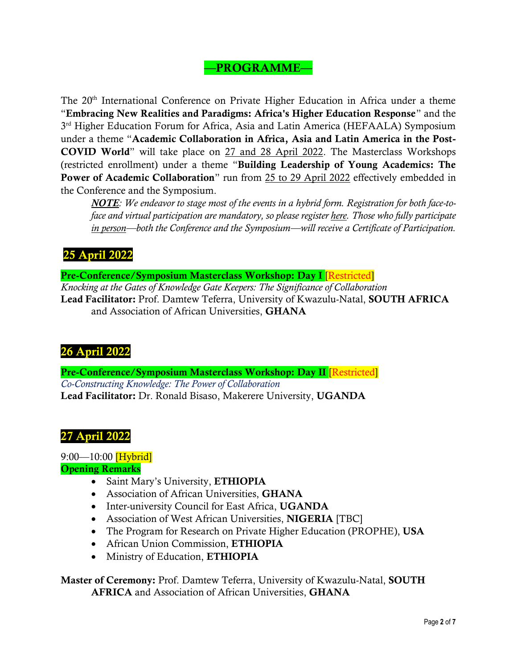## —PROGRAMME—

The 20<sup>th</sup> International Conference on Private Higher Education in Africa under a theme "Embracing New Realities and Paradigms: Africa's Higher Education Response" and the 3<sup>rd</sup> Higher Education Forum for Africa, Asia and Latin America (HEFAALA) Symposium under a theme "Academic Collaboration in Africa, Asia and Latin America in the Post-COVID World" will take place on 27 and 28 April 2022. The Masterclass Workshops (restricted enrollment) under a theme "Building Leadership of Young Academics: The Power of Academic Collaboration" run from 25 to 29 April 2022 effectively embedded in the Conference and the Symposium.

*NOTE: We endeavor to stage most of the events in a hybrid form. Registration for both face-toface and virtual participation are mandatory, so please register [here.](https://docs.google.com/forms/d/e/1FAIpQLSfDUtk1ZmeJ_RKboZWoqqWPRP_-ieIFlyJi3MISHE864hjb7w/viewform?usp=sf_link) Those who fully participate in person—both the Conference and the Symposium—will receive a Certificate of Participation.*

## 25 April 2022

Pre-Conference/Symposium Masterclass Workshop: Day I [Restricted]

*Knocking at the Gates of Knowledge Gate Keepers: The Significance of Collaboration* Lead Facilitator: Prof. Damtew Teferra, University of Kwazulu-Natal, SOUTH AFRICA and Association of African Universities, GHANA

## 26 April 2022

Pre-Conference/Symposium Masterclass Workshop: Day II [Restricted] *Co-Constructing Knowledge: The Power of Collaboration* Lead Facilitator: Dr. Ronald Bisaso, Makerere University, UGANDA

## 27 April 2022

 $9:00 - 10:00$  [Hybrid] Opening Remarks

- Saint Mary's University, ETHIOPIA
- Association of African Universities, GHANA
- Inter-university Council for East Africa, UGANDA
- Association of West African Universities, NIGERIA [TBC]
- The Program for Research on Private Higher Education (PROPHE), USA
- African Union Commission, ETHIOPIA
- Ministry of Education, ETHIOPIA

Master of Ceremony: Prof. Damtew Teferra, University of Kwazulu-Natal, SOUTH AFRICA and Association of African Universities, GHANA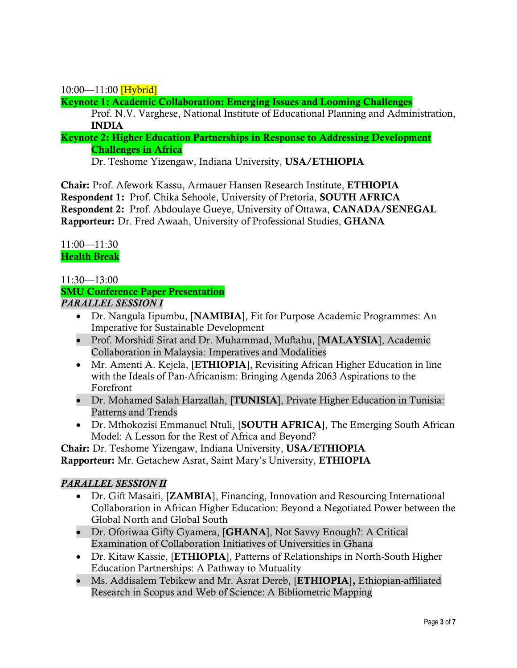$10:00 - 11:00$  [Hybrid]

Keynote 1: Academic Collaboration: Emerging Issues and Looming Challenges

Prof. N.V. Varghese, National Institute of Educational Planning and Administration, INDIA

Keynote 2: Higher Education Partnerships in Response to Addressing Development Challenges in Africa

Dr. Teshome Yizengaw, Indiana University, USA/ETHIOPIA

Chair: Prof. Afework Kassu, Armauer Hansen Research Institute, ETHIOPIA Respondent 1: Prof. Chika Sehoole, University of Pretoria, SOUTH AFRICA Respondent 2: Prof. Abdoulaye Gueye, University of Ottawa, CANADA/SENEGAL Rapporteur: Dr. Fred Awaah, University of Professional Studies, GHANA

11:00—11:30 Health Break

#### 11:30—13:00

#### SMU Conference Paper Presentation *PARALLEL SESSION I*

- Dr. Nangula Iipumbu, [NAMIBIA], Fit for Purpose Academic Programmes: An Imperative for Sustainable Development
- Prof. Morshidi Sirat and Dr. Muhammad, Muftahu, [MALAYSIA], Academic Collaboration in Malaysia: Imperatives and Modalities
- Mr. Amenti A. Kejela, [ETHIOPIA], Revisiting African Higher Education in line with the Ideals of Pan-Africanism: Bringing Agenda 2063 Aspirations to the Forefront
- Dr. Mohamed Salah Harzallah, [TUNISIA], Private Higher Education in Tunisia: Patterns and Trends
- Dr. Mthokozisi Emmanuel Ntuli, [SOUTH AFRICA], The Emerging South African Model: A Lesson for the Rest of Africa and Beyond?

Chair: Dr. Teshome Yizengaw, Indiana University, USA/ETHIOPIA Rapporteur: Mr. Getachew Asrat, Saint Mary's University, ETHIOPIA

#### *PARALLEL SESSION II*

- Dr. Gift Masaiti, [**ZAMBIA**], Financing, Innovation and Resourcing International Collaboration in African Higher Education: Beyond a Negotiated Power between the Global North and Global South
- Dr. Oforiwaa Gifty Gyamera, [GHANA], Not Savvy Enough?: A Critical Examination of Collaboration Initiatives of Universities in Ghana
- Dr. Kitaw Kassie, [ETHIOPIA], Patterns of Relationships in North-South Higher Education Partnerships: A Pathway to Mutuality
- Ms. Addisalem Tebikew and Mr. Asrat Dereb, [ETHIOPIA], Ethiopian-affiliated Research in Scopus and Web of Science: A Bibliometric Mapping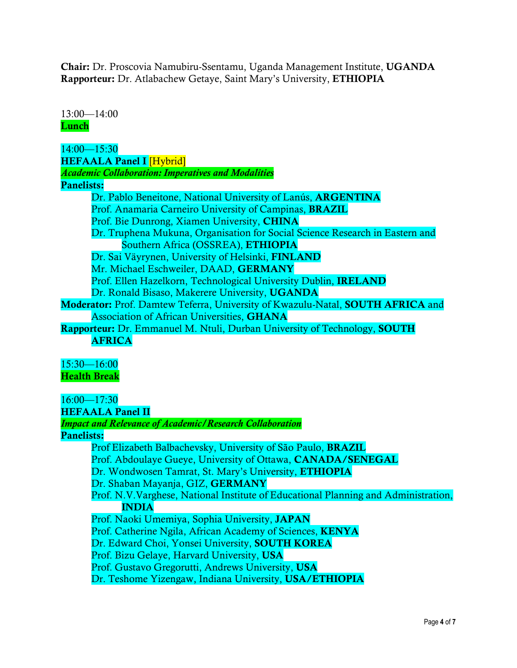Chair: Dr. Proscovia Namubiru-Ssentamu, Uganda Management Institute, UGANDA Rapporteur: Dr. Atlabachew Getaye, Saint Mary's University, ETHIOPIA

13:00—14:00 Lunch

14:00—15:30 HEFAALA Panel I [Hybrid] *Academic Collaboration: Imperatives and Modalities*  Panelists: Dr. Pablo Beneitone, National University of Lanús, ARGENTINA Prof. Anamaria Carneiro University of Campinas, BRAZIL Prof. Bie Dunrong, Xiamen University, CHINA Dr. Truphena Mukuna, Organisation for Social Science Research in Eastern and Southern Africa (OSSREA), ETHIOPIA Dr. Sai Väyrynen, University of Helsinki, FINLAND Mr. Michael Eschweiler, DAAD, GERMANY Prof. Ellen Hazelkorn, Technological University Dublin, IRELAND Dr. Ronald Bisaso, Makerere University, UGANDA Moderator: Prof. Damtew Teferra, University of Kwazulu-Natal, SOUTH AFRICA and Association of African Universities, GHANA Rapporteur: Dr. Emmanuel M. Ntuli, Durban University of Technology, SOUTH AFRICA 15:30—16:00 Health Break 16:00—17:30 HEFAALA Panel II *Impact and Relevance of Academic/Research Collaboration* Panelists:

Prof Elizabeth Balbachevsky, University of São Paulo, BRAZIL Prof. Abdoulaye Gueye, University of Ottawa, CANADA/SENEGAL Dr. Wondwosen Tamrat, St. Mary's University, ETHIOPIA Dr. Shaban Mayanja, GIZ, GERMANY Prof. N.V.Varghese, National Institute of Educational Planning and Administration, INDIA Prof. Naoki Umemiya, Sophia University, JAPAN Prof. Catherine Ngila, African Academy of Sciences, KENYA Dr. Edward Choi, Yonsei University, SOUTH KOREA Prof. Bizu Gelaye, Harvard University, USA Prof. Gustavo Gregorutti, Andrews University, USA Dr. Teshome Yizengaw, Indiana University, USA/ETHIOPIA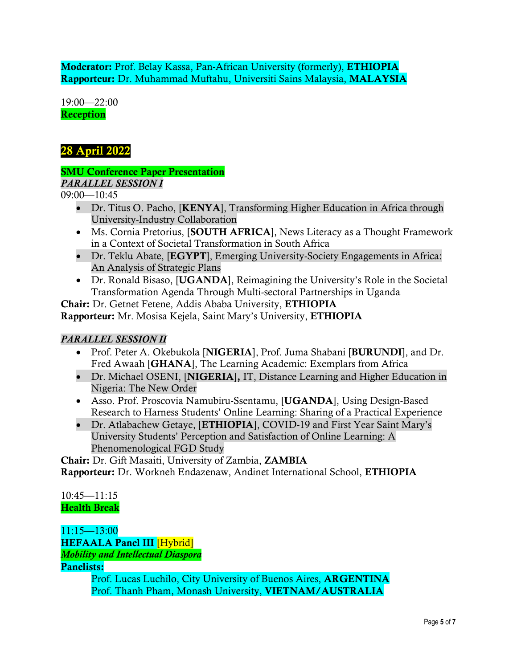Moderator: Prof. Belay Kassa, Pan-African University (formerly), ETHIOPIA Rapporteur: Dr. Muhammad Muftahu, Universiti Sains Malaysia, MALAYSIA

19:00—22:00 Reception

## 28 April 2022

#### SMU Conference Paper Presentation

*PARALLEL SESSION I*

09:00—10:45

- Dr. Titus O. Pacho, [KENYA], Transforming Higher Education in Africa through University-Industry Collaboration
- Ms. Cornia Pretorius, [SOUTH AFRICA], News Literacy as a Thought Framework in a Context of Societal Transformation in South Africa
- Dr. Teklu Abate, [EGYPT], Emerging University-Society Engagements in Africa: An Analysis of Strategic Plans
- Dr. Ronald Bisaso, [UGANDA], Reimagining the University's Role in the Societal Transformation Agenda Through Multi-sectoral Partnerships in Uganda

Chair: Dr. Getnet Fetene, Addis Ababa University, ETHIOPIA Rapporteur: Mr. Mosisa Kejela, Saint Mary's University, ETHIOPIA

#### *PARALLEL SESSION II*

- Prof. Peter A. Okebukola [NIGERIA], Prof. Juma Shabani [BURUNDI], and Dr. Fred Awaah [GHANA], The Learning Academic: Exemplars from Africa
- Dr. Michael OSENI, [NIGERIA], IT, Distance Learning and Higher Education in Nigeria: The New Order
- Asso. Prof. Proscovia Namubiru-Ssentamu, [UGANDA], Using Design-Based Research to Harness Students' Online Learning: Sharing of a Practical Experience
- Dr. Atlabachew Getaye, [ETHIOPIA], COVID-19 and First Year Saint Mary's University Students' Perception and Satisfaction of Online Learning: A Phenomenological FGD Study

Chair: Dr. Gift Masaiti, University of Zambia, ZAMBIA Rapporteur: Dr. Workneh Endazenaw, Andinet International School, ETHIOPIA

10:45—11:15 Health Break

11:15—13:00 HEFAALA Panel III [Hybrid] *Mobility and Intellectual Diaspora*

Panelists:

Prof. Lucas Luchilo, City University of Buenos Aires, ARGENTINA Prof. Thanh Pham, Monash University, VIETNAM/AUSTRALIA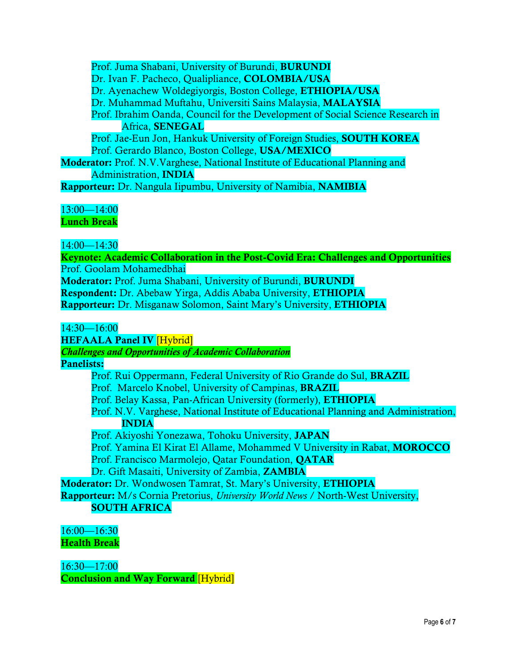Prof. Juma Shabani, University of Burundi, BURUNDI Dr. Ivan F. Pacheco, Qualipliance, COLOMBIA/USA Dr. Ayenachew Woldegiyorgis, Boston College, ETHIOPIA/USA Dr. Muhammad Muftahu, Universiti Sains Malaysia, MALAYSIA Prof. Ibrahim Oanda, Council for the Development of Social Science Research in Africa, SENEGAL Prof. Jae-Eun Jon, Hankuk University of Foreign Studies, **SOUTH KOREA** Prof. Gerardo Blanco, Boston College, USA/MEXICO Moderator: Prof. N.V.Varghese, National Institute of Educational Planning and Administration, INDIA

Rapporteur: Dr. Nangula Iipumbu, University of Namibia, NAMIBIA

13:00—14:00 Lunch Break

14:00—14:30

Keynote: Academic Collaboration in the Post-Covid Era: Challenges and Opportunities Prof. Goolam Mohamedbhai Moderator: Prof. Juma Shabani, University of Burundi, BURUNDI Respondent: Dr. Abebaw Yirga, Addis Ababa University, ETHIOPIA Rapporteur: Dr. Misganaw Solomon, Saint Mary's University, ETHIOPIA

14:30—16:00

HEFAALA Panel IV [Hybrid]

*Challenges and Opportunities of Academic Collaboration*

Panelists:

Prof. Rui Oppermann, Federal University of Rio Grande do Sul, BRAZIL

Prof. Marcelo Knobel, University of Campinas, BRAZIL

Prof. Belay Kassa, Pan-African University (formerly), ETHIOPIA

Prof. N.V. Varghese, National Institute of Educational Planning and Administration, INDIA

Prof. Akiyoshi Yonezawa, Tohoku University, JAPAN

Prof. Yamina El Kirat El Allame, Mohammed V University in Rabat, MOROCCO

Prof. Francisco Marmolejo, Qatar Foundation, QATAR

Dr. Gift Masaiti, University of Zambia, ZAMBIA

Moderator: Dr. Wondwosen Tamrat, St. Mary's University, ETHIOPIA

Rapporteur: M/s Cornia Pretorius, *University World News* / North-West University,

#### SOUTH AFRICA

16:00—16:30 Health Break

16:30—17:00 Conclusion and Way Forward [Hybrid]